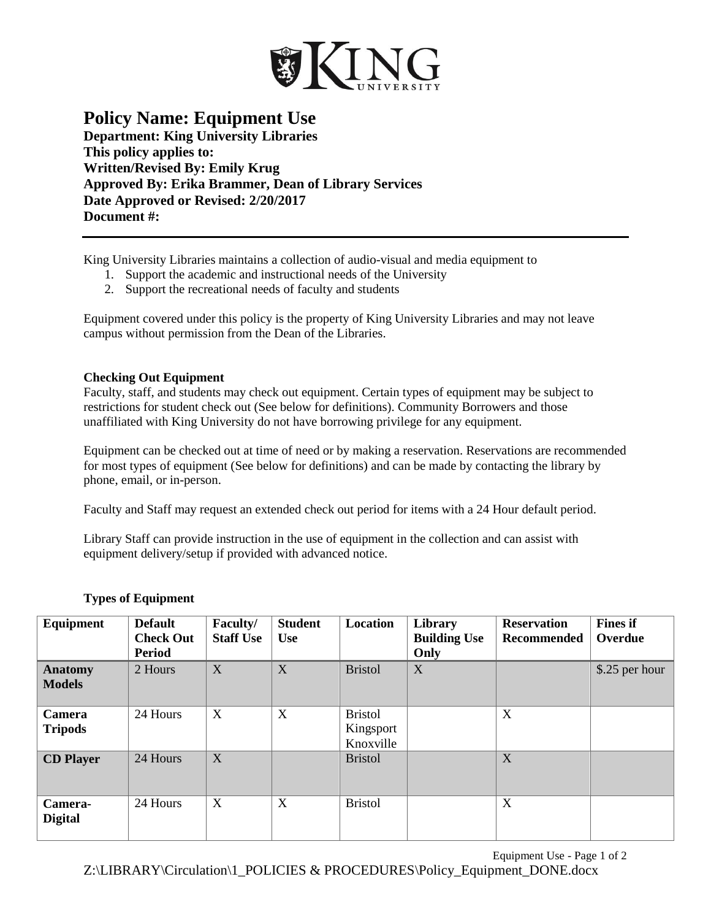

## **Policy Name: Equipment Use**

**Department: King University Libraries This policy applies to: Written/Revised By: Emily Krug Approved By: Erika Brammer, Dean of Library Services Date Approved or Revised: 2/20/2017 Document #:** 

King University Libraries maintains a collection of audio-visual and media equipment to

- 1. Support the academic and instructional needs of the University
- 2. Support the recreational needs of faculty and students

Equipment covered under this policy is the property of King University Libraries and may not leave campus without permission from the Dean of the Libraries.

## **Checking Out Equipment**

Faculty, staff, and students may check out equipment. Certain types of equipment may be subject to restrictions for student check out (See below for definitions). Community Borrowers and those unaffiliated with King University do not have borrowing privilege for any equipment.

Equipment can be checked out at time of need or by making a reservation. Reservations are recommended for most types of equipment (See below for definitions) and can be made by contacting the library by phone, email, or in-person.

Faculty and Staff may request an extended check out period for items with a 24 Hour default period.

Library Staff can provide instruction in the use of equipment in the collection and can assist with equipment delivery/setup if provided with advanced notice.

| Equipment                       | <b>Default</b><br><b>Check Out</b><br><b>Period</b> | Faculty/<br><b>Staff Use</b> | <b>Student</b><br><b>Use</b> | <b>Location</b>                          | Library<br><b>Building Use</b><br>Only | <b>Reservation</b><br><b>Recommended</b> | <b>Fines</b> if<br>Overdue |
|---------------------------------|-----------------------------------------------------|------------------------------|------------------------------|------------------------------------------|----------------------------------------|------------------------------------------|----------------------------|
| <b>Anatomy</b><br><b>Models</b> | 2 Hours                                             | X                            | X                            | <b>Bristol</b>                           | X                                      |                                          | \$.25 per hour             |
| Camera<br><b>Tripods</b>        | 24 Hours                                            | X                            | X                            | <b>Bristol</b><br>Kingsport<br>Knoxville |                                        | X                                        |                            |
| <b>CD</b> Player                | 24 Hours                                            | X                            |                              | <b>Bristol</b>                           |                                        | X                                        |                            |
| Camera-<br><b>Digital</b>       | 24 Hours                                            | X                            | X                            | <b>Bristol</b>                           |                                        | X                                        |                            |

## **Types of Equipment**

Equipment Use - Page 1 of 2

Z:\LIBRARY\Circulation\1\_POLICIES & PROCEDURES\Policy\_Equipment\_DONE.docx